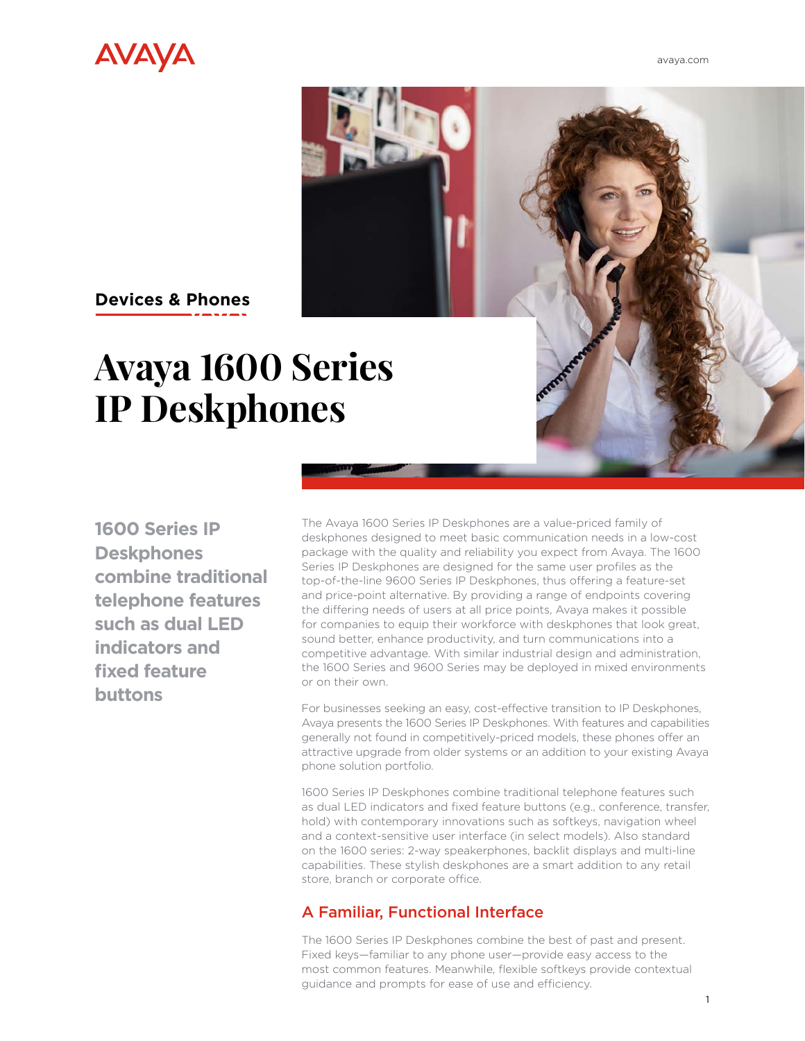

[avaya.com](http://www.avaya.com/en)



# **Devices & Phones**

# **Avaya 1600 Series IP Deskphones**

**1600 Series IP Deskphones combine traditional telephone features such as dual LED indicators and fixed feature buttons**

The Avaya 1600 Series IP Deskphones are a value-priced family of deskphones designed to meet basic communication needs in a low-cost package with the quality and reliability you expect from Avaya. The 1600 Series IP Deskphones are designed for the same user profiles as the top-of-the-line 9600 Series IP Deskphones, thus offering a feature-set and price-point alternative. By providing a range of endpoints covering the differing needs of users at all price points, Avaya makes it possible for companies to equip their workforce with deskphones that look great, sound better, enhance productivity, and turn communications into a competitive advantage. With similar industrial design and administration, the 1600 Series and 9600 Series may be deployed in mixed environments or on their own.

For businesses seeking an easy, cost-effective transition to IP Deskphones, Avaya presents the 1600 Series IP Deskphones. With features and capabilities generally not found in competitively-priced models, these phones offer an attractive upgrade from older systems or an addition to your existing Avaya phone solution portfolio.

1600 Series IP Deskphones combine traditional telephone features such as dual LED indicators and fixed feature buttons (e.g., conference, transfer, hold) with contemporary innovations such as softkeys, navigation wheel and a context-sensitive user interface (in select models). Also standard on the 1600 series: 2-way speakerphones, backlit displays and multi-line capabilities. These stylish deskphones are a smart addition to any retail store, branch or corporate office.

## A Familiar, Functional Interface

The 1600 Series IP Deskphones combine the best of past and present. Fixed keys—familiar to any phone user—provide easy access to the most common features. Meanwhile, flexible softkeys provide contextual guidance and prompts for ease of use and efficiency.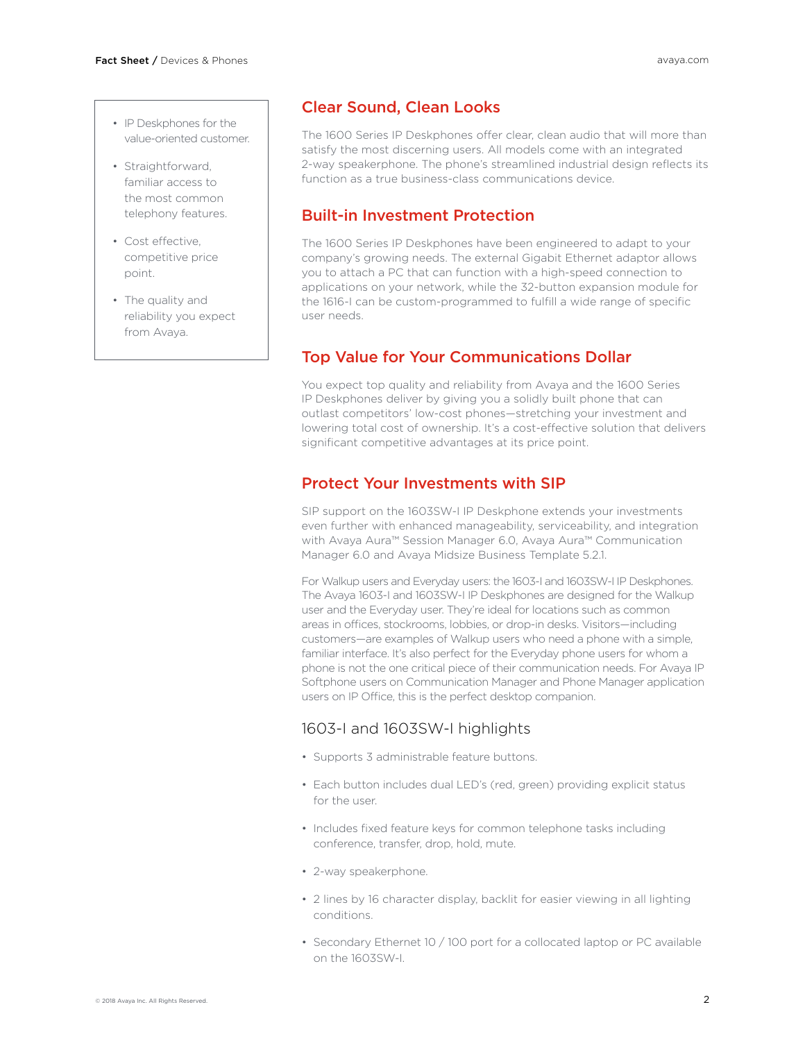- IP Deskphones for the value-oriented customer.
- Straightforward, familiar access to the most common telephony features.
- Cost effective, competitive price point.
- The quality and reliability you expect from Avaya.

### Clear Sound, Clean Looks

The 1600 Series IP Deskphones offer clear, clean audio that will more than satisfy the most discerning users. All models come with an integrated 2-way speakerphone. The phone's streamlined industrial design reflects its function as a true business-class communications device.

### Built-in Investment Protection

The 1600 Series IP Deskphones have been engineered to adapt to your company's growing needs. The external Gigabit Ethernet adaptor allows you to attach a PC that can function with a high-speed connection to applications on your network, while the 32-button expansion module for the 1616-I can be custom-programmed to fulfill a wide range of specific user needs.

# Top Value for Your Communications Dollar

You expect top quality and reliability from Avaya and the 1600 Series IP Deskphones deliver by giving you a solidly built phone that can outlast competitors' low-cost phones—stretching your investment and lowering total cost of ownership. It's a cost-effective solution that delivers significant competitive advantages at its price point.

### Protect Your Investments with SIP

SIP support on the 1603SW-I IP Deskphone extends your investments even further with enhanced manageability, serviceability, and integration with Avaya Aura™ Session Manager 6.0, Avaya Aura™ Communication Manager 6.0 and Avaya Midsize Business Template 5.2.1.

For Walkup users and Everyday users: the 1603-I and 1603SW-I IP Deskphones. The Avaya 1603-I and 1603SW-I IP Deskphones are designed for the Walkup user and the Everyday user. They're ideal for locations such as common areas in offices, stockrooms, lobbies, or drop-in desks. Visitors—including customers—are examples of Walkup users who need a phone with a simple, familiar interface. It's also perfect for the Everyday phone users for whom a phone is not the one critical piece of their communication needs. For Avaya IP Softphone users on Communication Manager and Phone Manager application users on IP Office, this is the perfect desktop companion.

## 1603-I and 1603SW-I highlights

- Supports 3 administrable feature buttons.
- Each button includes dual LED's (red, green) providing explicit status for the user.
- Includes fixed feature keys for common telephone tasks including conference, transfer, drop, hold, mute.
- 2-way speakerphone.
- 2 lines by 16 character display, backlit for easier viewing in all lighting conditions.
- Secondary Ethernet 10 / 100 port for a collocated laptop or PC available on the 1603SW-I.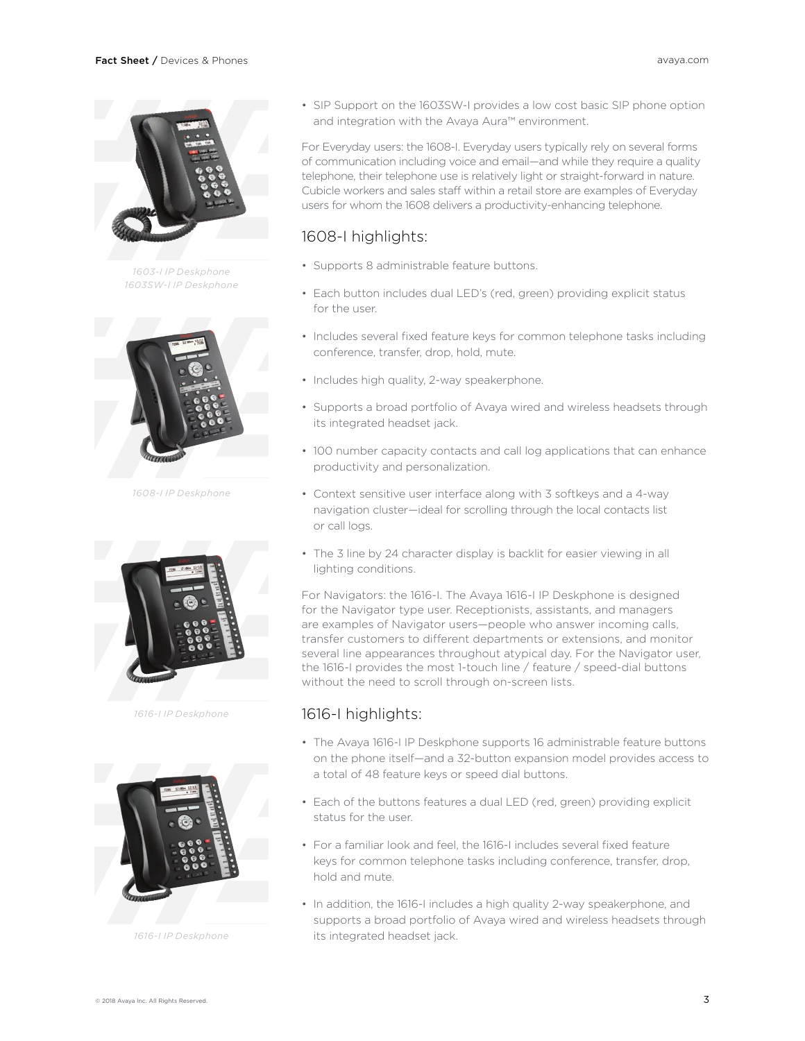

*1603-I IP Deskphone 1603SW-I IP Deskphone*



*1608-I IP Deskphone*



*1616-I IP Deskphone*



*1616-I IP Deskphone*

• SIP Support on the 1603SW-I provides a low cost basic SIP phone option and integration with the Avaya Aura™ environment.

For Everyday users: the 1608-I. Everyday users typically rely on several forms of communication including voice and email—and while they require a quality telephone, their telephone use is relatively light or straight-forward in nature. Cubicle workers and sales staff within a retail store are examples of Everyday users for whom the 1608 delivers a productivity-enhancing telephone.

#### 1608-I highlights:

- Supports 8 administrable feature buttons.
- Each button includes dual LED's (red, green) providing explicit status for the user.
- Includes several fixed feature keys for common telephone tasks including conference, transfer, drop, hold, mute.
- Includes high quality, 2-way speakerphone.
- Supports a broad portfolio of Avaya wired and wireless headsets through its integrated headset jack.
- 100 number capacity contacts and call log applications that can enhance productivity and personalization.
- Context sensitive user interface along with 3 softkeys and a 4-way navigation cluster—ideal for scrolling through the local contacts list or call logs.
- The 3 line by 24 character display is backlit for easier viewing in all lighting conditions.

For Navigators: the 1616-I. The Avaya 1616-I IP Deskphone is designed for the Navigator type user. Receptionists, assistants, and managers are examples of Navigator users—people who answer incoming calls, transfer customers to different departments or extensions, and monitor several line appearances throughout atypical day. For the Navigator user, the 1616-I provides the most 1-touch line / feature / speed-dial buttons without the need to scroll through on-screen lists.

#### 1616-I highlights:

- The Avaya 1616-I IP Deskphone supports 16 administrable feature buttons on the phone itself—and a 32-button expansion model provides access to a total of 48 feature keys or speed dial buttons.
- Each of the buttons features a dual LED (red, green) providing explicit status for the user.
- For a familiar look and feel, the 1616-I includes several fixed feature keys for common telephone tasks including conference, transfer, drop, hold and mute.
- In addition, the 1616-I includes a high quality 2-way speakerphone, and supports a broad portfolio of Avaya wired and wireless headsets through its integrated headset jack.